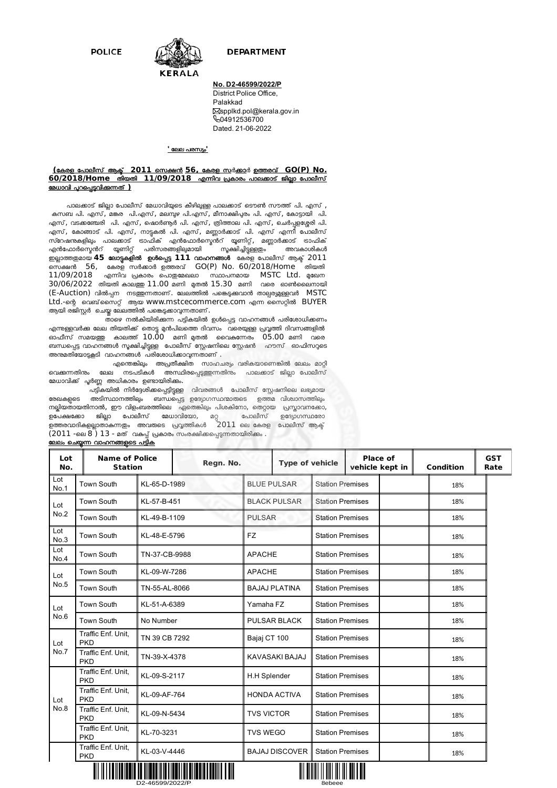**POLICE** 



# **DEPARTMENT**

# **No. D2-46599/2022/P**

District Police Office, Palakkad Sspplkd.pol@kerala.gov.in **604912536700** Dated. 21-06-2022

#### **'** േലല പരസം**'**

### $($ കേരള പോലീസ് ആക് **2011** സെക്ഷൻ 56, കേരള സർക്കാർ ഉത്തരവ് GO(P) No. **60/2018/Home** തിയതി **11/09/2018** എന്നിവ പ്രകാരം പാലക്കാട് ജില്ലാ പോലീസ് <u>മേധാവി പുറപ്പെട്ടവിക്കന്നത് )</u>

പാലക്കാട് ജില്ലാ പോലീസ് മേധാവിയുടെ കീഴിലുള്ള പാലക്കാട് ടൌൺ സൗത്ത് പി. എസ് , കസബ പി. എസ്, മങ്കര പി.എസ്, മലമ്പ്യഴ പി.എസ്, മീനാക്ഷിപ്പരം പി. എസ്, കോട്ടായി പി. എസ്, വടക്കഞ്ചേരി പി. എസ്, ഷൊർണ്ടർ പി. എസ്, ത്രിത്താല പി. എസ്, ചെർപ്പളശ്ശേരി പി. ്ക് സ്, കോങ്ങാട് പി. എസ്, നാട്ടകൽ പി. എസ്, മണ്ണാർക്കാട് പി. എസ് എന്നീ പോലീസ് , സ്റേഷന്ദകളിലും പാലക്കാട് ട്രാഫിക് എൻഫോർസ്ഫെന്റ് യൂണിറ്റ്, മണ്ണാർക്കാട് ട്രാഫിക്<br>എൻഫോർസ്പെൻറ് യൂണിറ്റ് പരിസരങ്ങളില്വമായി സൂക്ഷിച്ചിട്ടളെയം അവകാശികൾ എൻഫോർസ്മെൻറ് യൂണിറ്റ് പരിസരങ്ങളിലുമായി <sup>-</sup> സൂക്ഷിച്ചിട്ടുള്ളതും <del>-</del> <u>ഇ</u>ല്ലാത്തഇമായ 45 ലോട്ടകളിൽ ഉൾപ്പെട്ട 111 വാഹനങ്ങൾ കേരള പോലീസ് ആക്ട 2011 െസA 56, േകരള സാ ഉരവ് GO(P) No. 60/2018/Home തിയതി  $11/09/2018$  എന്നിവ പ്രകാരം പൊതുമേഖലാ സ്ഥാപനമായ MSTC Ltd. മുഖേന 30/06/2022 തിയതി കാലത്ത 11.00 മണി മുതൽ 15.30 മണി വരെ ഓൺലൈനായി (E-Auction) വിൽപ്പന നടത്തുന്നതാണ്. ലേലത്തിൽ പങ്കെടുക്കുവാൻ താല്പര്യമുള്ളവർ MSTC Ltd.-ന്റെ വെബ്സൈറ്റ് ആയ www.mstcecommerce.com എന്ന സൈറ്റിൽ BUYER ആയി രജിസ്റ്റർ ചെയ്ത ലേലത്തിൽ പങ്കെടുക്കാവുന്നതാണ് .

,<br>താഴെ നൽകിയിരിക്കന്ന പട്ടികയിൽ ഉൾപ്പെട്ട വാഹനങ്ങൾ പരിശോധിക്കണം .എന്നുള്ളവർക്ക ലേല തിയതിക്ക് തൊട്ട മുൻപിലത്തെ ദിവസം വരെയുള്ള പ്രവ്വത്തി ദിവസങ്ങളിൽ ഓഫീസ് സമയR കാല് 10.00 മണി Qത; ൈവ^േരം 05.00 മണി വെര ബന്ധപ്പെട്ട വാഹനങ്ങൾ സൂക്ഷിച്ചിട്ടുള്ള പോലീസ് സ്റ്റേഷനിലെ സ്റ്റേഷൻ ഹൗസ് ഓഫിസറുടെ അന്മതിയോട്ടകളടി വാഹനങ്ങൾ പരിശോധിക്കാവ്വന്നതാണ് .

.<br>എന്തെങ്കിലും അപ്രതീക്ഷിത സാഹചര്യം വരികയാണെങ്കിൽ ലേലം മാറ്റി ം<br>വൈക്കന്നതിനും ലേല നടപടികൾ അസ്ഥിരപ്പെടുത്തന്നതിനും പാലക്കാട് ജില്ലാ പോലീസ് മേധാവിക്ക് പ്പർണ്ണ അധികാരം ഉണ്ടായിരിക്കം.

പട്ടികയിൽ നിർദ്ദേശിക്കപ്പെട്ടിട്ടുള്ള വിവരങ്ങൾ പോലീസ് സ്റ്റേഷനിലെ ലഭ്യമായ രേഖകളുടെ അടിസ്ഥാനത്തിലും ബന്ധപ്പെട്ട ഉദ്യോഗസ്ഥന്മാരുടെ ഉത്തമ വിശ്വാസത്തിലും നല്ലിയതായതിനാൽ, ഈ വിളംബരത്തിലെ മുതെങ്കിലും പിശകിനോ, തെറ്റായ പ്രസ്താവനക്കോ, ഉപേക്ഷക്കോ ജില്ലാ പോലീസ് മേധാവിയോ, മറ്റ<sub>്</sub> പോലീസ് ഉദ്യോഗസ്ഥരോ ഉത്തരവാദികളല്ലാതാകുന്നതും അവരുടെ പ്രവൃത്തികൾ  $\,$  2011 ലെ കേരള പോലീസ് ആക്ട് $\,$ (2011 -െല 8 ) 13 - മത് വ^\$് കാരം സംരിെ\$%തായിരി&ം .

| Lot<br>No.  | <b>Name of Police</b><br><b>Station</b>          |               | Regn. No. |                                                  |                         | <b>Type of vehicle</b>  |                         | <b>Place of</b><br>vehicle kept in | <b>Condition</b> | <b>GST</b><br>Rate |
|-------------|--------------------------------------------------|---------------|-----------|--------------------------------------------------|-------------------------|-------------------------|-------------------------|------------------------------------|------------------|--------------------|
| Lot<br>No.1 | <b>Town South</b>                                | KL-65-D-1989  |           | <b>BLUE PULSAR</b>                               |                         | <b>Station Premises</b> |                         | 18%                                |                  |                    |
| Lot<br>No.2 | <b>Town South</b>                                | KL-57-B-451   |           | <b>BLACK PULSAR</b>                              |                         | <b>Station Premises</b> |                         | 18%                                |                  |                    |
|             | <b>Town South</b>                                | KL-49-B-1109  |           | <b>PULSAR</b>                                    |                         | <b>Station Premises</b> |                         | 18%                                |                  |                    |
| Lot<br>No.3 | <b>Town South</b>                                | KL-48-E-5796  |           | <b>FZ</b><br><b>Station Premises</b>             |                         |                         |                         | 18%                                |                  |                    |
| Lot<br>No.4 | <b>Town South</b>                                | TN-37-CB-9988 |           | <b>APACHE</b><br><b>Station Premises</b>         |                         |                         | 18%                     |                                    |                  |                    |
| Lot         | <b>Town South</b>                                | KL-09-W-7286  |           | <b>APACHE</b>                                    |                         | <b>Station Premises</b> |                         | 18%                                |                  |                    |
| No.5        | <b>Town South</b>                                | TN-55-AL-8066 |           | <b>BAJAJ PLATINA</b>                             |                         | <b>Station Premises</b> |                         | 18%                                |                  |                    |
| Lot         | <b>Town South</b>                                | KL-51-A-6389  |           | Yamaha FZ                                        |                         | <b>Station Premises</b> |                         | 18%                                |                  |                    |
| No.6        | <b>Town South</b>                                | No Number     |           | <b>PULSAR BLACK</b>                              |                         |                         | <b>Station Premises</b> |                                    | 18%              |                    |
| Lot<br>No.7 | Traffic Enf. Unit.<br><b>PKD</b>                 | TN 39 CB 7292 |           | Bajaj CT 100                                     |                         | <b>Station Premises</b> |                         | 18%                                |                  |                    |
|             | Traffic Enf. Unit.<br><b>PKD</b>                 | TN-39-X-4378  |           | <b>KAVASAKI BAJAJ</b><br><b>Station Premises</b> |                         |                         |                         | 18%                                |                  |                    |
|             | Traffic Enf. Unit,<br><b>PKD</b>                 | KL-09-S-2117  |           | H.H Splender<br><b>Station Premises</b>          |                         |                         |                         | 18%                                |                  |                    |
| Lot         | Traffic Enf. Unit,<br><b>PKD</b>                 | KL-09-AF-764  |           | <b>HONDA ACTIVA</b>                              |                         | <b>Station Premises</b> |                         | 18%                                |                  |                    |
| No.8        | Traffic Enf. Unit,<br><b>PKD</b>                 | KL-09-N-5434  |           | <b>TVS VICTOR</b>                                |                         | <b>Station Premises</b> |                         | 18%                                |                  |                    |
|             | Traffic Enf. Unit,<br><b>PKD</b>                 | KL-70-3231    |           | <b>TVS WEGO</b>                                  |                         | <b>Station Premises</b> |                         | 18%                                |                  |                    |
|             | Traffic Enf. Unit.<br>KL-03-V-4446<br><b>PKD</b> |               |           | <b>BAJAJ DISCOVER</b>                            | <b>Station Premises</b> |                         |                         | 18%                                |                  |                    |

### ലേലം ചെയ്യന്ന വാഹനങ്ങളുടെ പട്ടിക



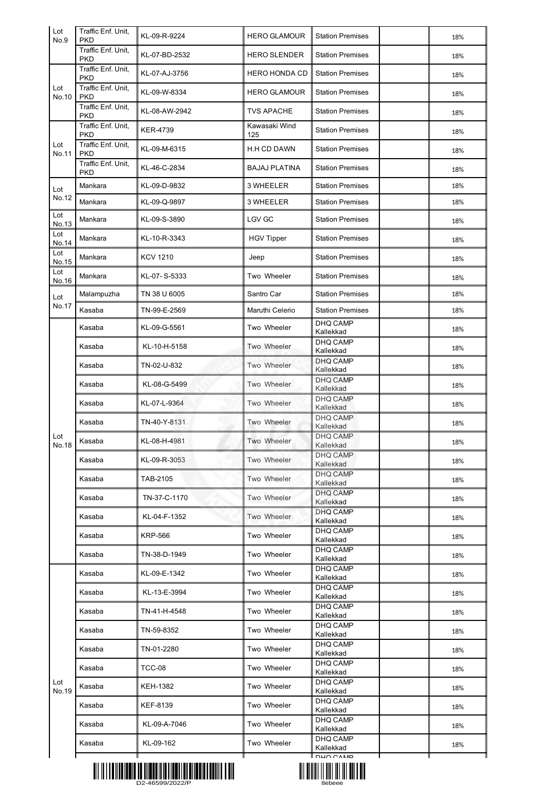| Lot<br>No.9  | Traffic Enf. Unit,<br><b>PKD</b> | KL-09-R-9224    | <b>HERO GLAMOUR</b>  | <b>Station Premises</b>      | 18% |
|--------------|----------------------------------|-----------------|----------------------|------------------------------|-----|
|              | Traffic Enf. Unit,<br><b>PKD</b> | KL-07-BD-2532   | <b>HERO SLENDER</b>  | <b>Station Premises</b>      | 18% |
| Lot<br>No.10 | Traffic Enf. Unit,<br><b>PKD</b> | KL-07-AJ-3756   | <b>HERO HONDA CD</b> | <b>Station Premises</b>      | 18% |
|              | Traffic Enf. Unit,<br>PKD        | KL-09-W-8334    | <b>HERO GLAMOUR</b>  | <b>Station Premises</b>      | 18% |
|              | Traffic Enf. Unit,<br>PKD        | KL-08-AW-2942   | <b>TVS APACHE</b>    | <b>Station Premises</b>      | 18% |
| Lot<br>No.11 | Traffic Enf. Unit,<br>PKD        | <b>KER-4739</b> | Kawasaki Wind<br>125 | <b>Station Premises</b>      | 18% |
|              | Traffic Enf. Unit,<br>PKD        | KL-09-M-6315    | H.H CD DAWN          | <b>Station Premises</b>      | 18% |
|              | Traffic Enf. Unit,<br><b>PKD</b> | KL-46-C-2834    | <b>BAJAJ PLATINA</b> | <b>Station Premises</b>      | 18% |
| Lot<br>No.12 | Mankara                          | KL-09-D-9832    | 3 WHEELER            | <b>Station Premises</b>      | 18% |
|              | Mankara                          | KL-09-Q-9897    | 3 WHEELER            | <b>Station Premises</b>      | 18% |
| Lot<br>No.13 | Mankara                          | KL-09-S-3890    | <b>LGV GC</b>        | <b>Station Premises</b>      | 18% |
| Lot<br>No.14 | Mankara                          | KL-10-R-3343    | <b>HGV Tipper</b>    | <b>Station Premises</b>      | 18% |
| Lot<br>No.15 | Mankara                          | <b>KCV 1210</b> | Jeep                 | <b>Station Premises</b>      | 18% |
| Lot<br>No.16 | Mankara                          | KL-07-S-5333    | Two Wheeler          | <b>Station Premises</b>      | 18% |
| Lot          | Malampuzha                       | TN 38 U 6005    | Santro Car           | <b>Station Premises</b>      | 18% |
| No.17        | Kasaba                           | TN-99-E-2569    | Maruthi Celerio      | <b>Station Premises</b>      | 18% |
|              | Kasaba                           | KL-09-G-5561    | Two Wheeler          | DHQ CAMP<br>Kallekkad        | 18% |
|              | Kasaba                           | KL-10-H-5158    | Two Wheeler          | DHQ CAMP<br>Kallekkad        | 18% |
|              | Kasaba                           | TN-02-U-832     | Two Wheeler          | DHQ CAMP<br>Kallekkad        | 18% |
|              | Kasaba                           | KL-08-G-5499    | Two Wheeler          | <b>DHQ CAMP</b><br>Kallekkad | 18% |
|              | Kasaba                           | KL-07-L-9364    | Two Wheeler          | <b>DHQ CAMP</b><br>Kallekkad | 18% |
|              | Kasaba                           | TN-40-Y-8131    | Two Wheeler          | DHQ CAMP<br>Kallekkad        | 18% |
| Lot<br>No.18 | Kasaba                           | KL-08-H-4981    | Two Wheeler          | DHQ CAMP<br>Kallekkad        | 18% |
|              | Kasaba                           | KL-09-R-3053    | Two Wheeler          | <b>DHQ CAMP</b><br>Kallekkad | 18% |
|              | Kasaba                           | TAB-2105        | Two Wheeler          | DHQ CAMP<br>Kallekkad        | 18% |
|              | Kasaba                           | TN-37-C-1170    | Two Wheeler          | <b>DHQ CAMP</b><br>Kallekkad | 18% |
|              | Kasaba                           | KL-04-F-1352    | Two Wheeler          | DHQ CAMP<br>Kallekkad        | 18% |
|              | Kasaba                           | <b>KRP-566</b>  | Two Wheeler          | <b>DHQ CAMP</b><br>Kallekkad | 18% |
|              | Kasaba                           | TN-38-D-1949    | Two Wheeler          | DHQ CAMP<br>Kallekkad        | 18% |
|              | Kasaba                           | KL-09-E-1342    | Two Wheeler          | DHQ CAMP                     | 18% |
|              | Kasaba                           | KL-13-E-3994    | Two Wheeler          | Kallekkad<br>DHQ CAMP        | 18% |
|              | Kasaba                           | TN-41-H-4548    | Two Wheeler          | Kallekkad<br>DHQ CAMP        | 18% |
| Lot<br>No.19 | Kasaba                           | TN-59-8352      | Two Wheeler          | Kallekkad<br>DHQ CAMP        | 18% |
|              | Kasaba                           | TN-01-2280      | Two Wheeler          | Kallekkad<br>DHQ CAMP        | 18% |
|              | Kasaba                           | TCC-08          | Two Wheeler          | Kallekkad<br>DHQ CAMP        | 18% |
|              | Kasaba                           | KEH-1382        | Two Wheeler          | Kallekkad<br>DHQ CAMP        | 18% |
|              | Kasaba                           | KEF-8139        | Two Wheeler          | Kallekkad<br>DHQ CAMP        | 18% |
|              | Kasaba                           | KL-09-A-7046    | Two Wheeler          | Kallekkad<br>DHQ CAMP        | 18% |
|              | Kasaba                           | KL-09-162       | Two Wheeler          | Kallekkad<br>DHQ CAMP        | 18% |
|              |                                  |                 |                      | Kallekkad<br><b>DUO CAMP</b> |     |



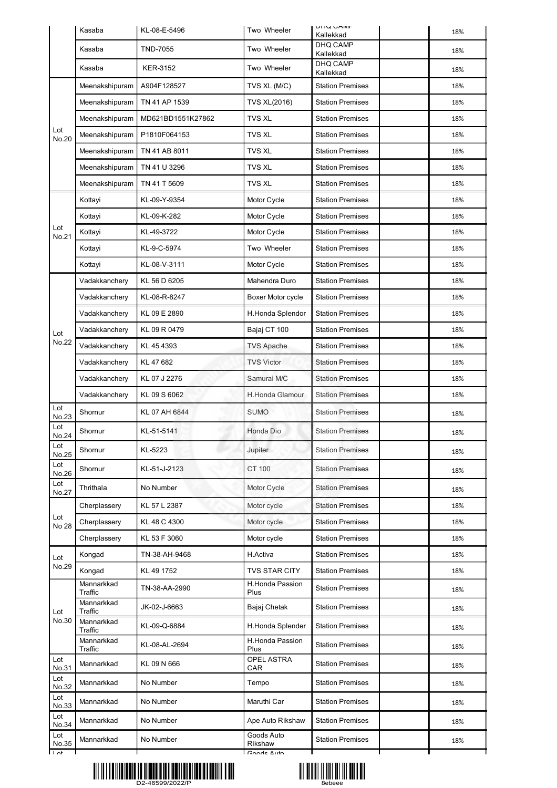|                   | Kasaba                | KL-08-E-5496      | Two Wheeler                    | <b>UITW UAIVIE</b><br>Kallekkad | 18% |
|-------------------|-----------------------|-------------------|--------------------------------|---------------------------------|-----|
|                   | Kasaba                | <b>TND-7055</b>   | Two Wheeler                    | DHQ CAMP<br>Kallekkad           | 18% |
|                   | Kasaba                | KER-3152          | Two Wheeler                    | <b>DHQ CAMP</b><br>Kallekkad    | 18% |
|                   | Meenakshipuram        | A904F128527       | TVS XL (M/C)                   | <b>Station Premises</b>         | 18% |
|                   | Meenakshipuram        | TN 41 AP 1539     | <b>TVS XL(2016)</b>            | <b>Station Premises</b>         | 18% |
|                   | Meenakshipuram        | MD621BD1551K27862 | <b>TVS XL</b>                  | <b>Station Premises</b>         | 18% |
| Lot<br>No.20      | Meenakshipuram        | P1810F064153      | <b>TVS XL</b>                  | <b>Station Premises</b>         | 18% |
|                   | Meenakshipuram        | TN 41 AB 8011     | <b>TVS XL</b>                  | <b>Station Premises</b>         | 18% |
|                   | Meenakshipuram        | TN 41 U 3296      | <b>TVS XL</b>                  | <b>Station Premises</b>         | 18% |
|                   | Meenakshipuram        | TN 41 T 5609      | <b>TVS XL</b>                  | <b>Station Premises</b>         | 18% |
|                   | Kottayi               | KL-09-Y-9354      | Motor Cycle                    | <b>Station Premises</b>         | 18% |
|                   | Kottayi               | KL-09-K-282       | Motor Cycle                    | <b>Station Premises</b>         | 18% |
| Lot<br>No.21      | Kottayi               | KL-49-3722        | Motor Cycle                    | <b>Station Premises</b>         | 18% |
|                   | Kottayi               | KL-9-C-5974       | Two Wheeler                    | <b>Station Premises</b>         | 18% |
|                   | Kottayi               | KL-08-V-3111      | Motor Cycle                    | <b>Station Premises</b>         | 18% |
|                   | Vadakkanchery         | KL 56 D 6205      | Mahendra Duro                  | <b>Station Premises</b>         | 18% |
|                   | Vadakkanchery         | KL-08-R-8247      | Boxer Motor cycle              | <b>Station Premises</b>         | 18% |
|                   | Vadakkanchery         | KL 09 E 2890      | H.Honda Splendor               | <b>Station Premises</b>         | 18% |
| Lot               | Vadakkanchery         | KL 09 R 0479      | Bajaj CT 100                   | <b>Station Premises</b>         | 18% |
| No.22             | Vadakkanchery         | KL 45 4393        | <b>TVS Apache</b>              | <b>Station Premises</b>         | 18% |
|                   | Vadakkanchery         | KL 47 682         | <b>TVS Victor</b>              | <b>Station Premises</b>         | 18% |
|                   | Vadakkanchery         | KL 07 J 2276      | Samurai M/C                    | <b>Station Premises</b>         | 18% |
|                   | Vadakkanchery         | KL 09 S 6062      | <b>H.Honda Glamour</b>         | <b>Station Premises</b>         | 18% |
| Lot<br>No.23      | Shornur               | KL 07 AH 6844     | <b>SUMO</b>                    | <b>Station Premises</b>         | 18% |
| Lot<br>No.24      | Shornur               | KL-51-5141        | Honda Dio                      | <b>Station Premises</b>         | 18% |
| Lot<br>No.25      | Shornur               | KL-5223           | Jupiter                        | <b>Station Premises</b>         | 18% |
| Lot<br>No.26      | Shornur               | KL-51-J-2123      | <b>CT 100</b>                  | <b>Station Premises</b>         | 18% |
| Lot<br>No.27      | Thrithala             | No Number         | Motor Cycle                    | <b>Station Premises</b>         | 18% |
| Lot<br>No 28      | Cherplassery          | KL 57 L 2387      | Motor cycle                    | <b>Station Premises</b>         | 18% |
|                   | Cherplassery          | KL 48 C 4300      | Motor cycle                    | <b>Station Premises</b>         | 18% |
|                   | Cherplassery          | KL 53 F 3060      | Motor cycle                    | <b>Station Premises</b>         | 18% |
| Lot               | Kongad                | TN-38-AH-9468     | H.Activa                       | <b>Station Premises</b>         | 18% |
| No.29             | Kongad                | KL 49 1752        | <b>TVS STAR CITY</b>           | <b>Station Premises</b>         | 18% |
|                   | Mannarkkad<br>Traffic | TN-38-AA-2990     | <b>H.Honda Passion</b><br>Plus | <b>Station Premises</b>         | 18% |
| Lot               | Mannarkkad<br>Traffic | JK-02-J-6663      | Bajaj Chetak                   | <b>Station Premises</b>         | 18% |
| No.30             | Mannarkkad<br>Traffic | KL-09-Q-6884      | H.Honda Splender               | <b>Station Premises</b>         | 18% |
|                   | Mannarkkad<br>Traffic | KL-08-AL-2694     | H.Honda Passion<br>Plus        | <b>Station Premises</b>         | 18% |
| Lot<br>No.31      | Mannarkkad            | KL 09 N 666       | <b>OPEL ASTRA</b><br>CAR       | <b>Station Premises</b>         | 18% |
| Lot<br>No.32      | Mannarkkad            | No Number         | Tempo                          | <b>Station Premises</b>         | 18% |
| Lot<br>No.33      | Mannarkkad            | No Number         | Maruthi Car                    | <b>Station Premises</b>         | 18% |
| Lot<br>No.34      | Mannarkkad            | No Number         | Ape Auto Rikshaw               | <b>Station Premises</b>         | 18% |
| Lot<br>No.35      | Mannarkkad            | No Number         | Goods Auto<br>Rikshaw          | <b>Station Premises</b>         | 18% |
| $\overline{1}$ of |                       |                   | Coode Auto                     |                                 |     |